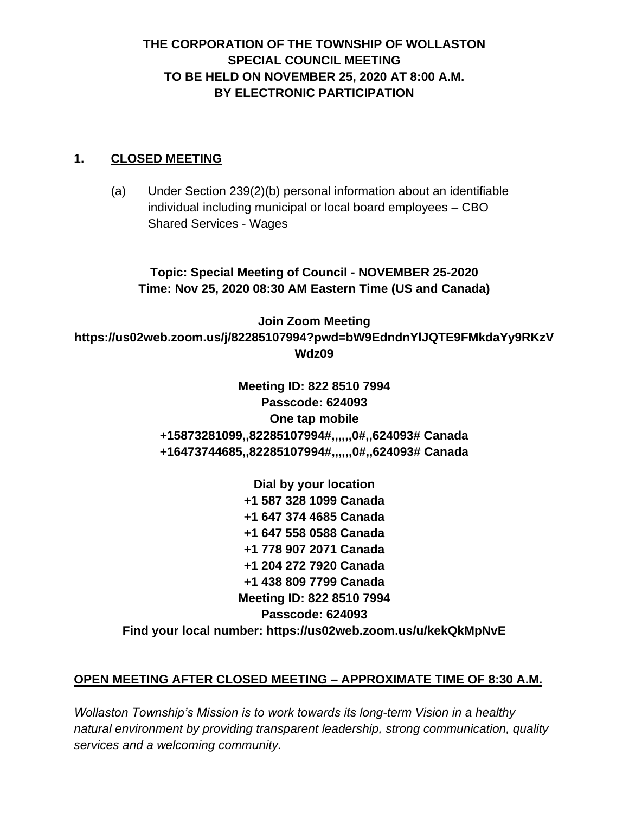# **THE CORPORATION OF THE TOWNSHIP OF WOLLASTON SPECIAL COUNCIL MEETING TO BE HELD ON NOVEMBER 25, 2020 AT 8:00 A.M. BY ELECTRONIC PARTICIPATION**

#### **1. CLOSED MEETING**

(a) Under Section 239(2)(b) personal information about an identifiable individual including municipal or local board employees – CBO Shared Services - Wages

**Topic: Special Meeting of Council - NOVEMBER 25-2020 Time: Nov 25, 2020 08:30 AM Eastern Time (US and Canada)**

**Join Zoom Meeting https://us02web.zoom.us/j/82285107994?pwd=bW9EdndnYlJQTE9FMkdaYy9RKzV Wdz09**

> **Meeting ID: 822 8510 7994 Passcode: 624093 One tap mobile +15873281099,,82285107994#,,,,,,0#,,624093# Canada +16473744685,,82285107994#,,,,,,0#,,624093# Canada**

**Dial by your location +1 587 328 1099 Canada +1 647 374 4685 Canada +1 647 558 0588 Canada +1 778 907 2071 Canada +1 204 272 7920 Canada +1 438 809 7799 Canada Meeting ID: 822 8510 7994 Passcode: 624093 Find your local number: https://us02web.zoom.us/u/kekQkMpNvE**

### **OPEN MEETING AFTER CLOSED MEETING – APPROXIMATE TIME OF 8:30 A.M.**

*Wollaston Township's Mission is to work towards its long-term Vision in a healthy natural environment by providing transparent leadership, strong communication, quality services and a welcoming community.*